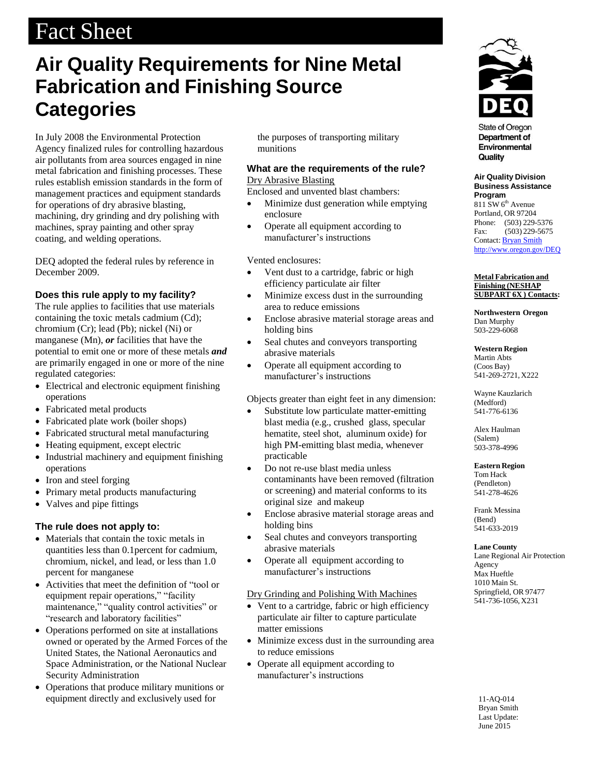# Fact Sheet

## **Air Quality Requirements for Nine Metal Fabrication and Finishing Source Categories**

In July 2008 the Environmental Protection Agency finalized rules for controlling hazardous air pollutants from area sources engaged in nine metal fabrication and finishing processes. These rules establish emission standards in the form of management practices and equipment standards for operations of dry abrasive blasting, machining, dry grinding and dry polishing with machines, spray painting and other spray coating, and welding operations.

DEQ adopted the federal rules by reference in December 2009.

### **Does this rule apply to my facility?**

The rule applies to facilities that use materials containing the toxic metals cadmium (Cd); chromium (Cr); lead (Pb); nickel (Ni) or manganese (Mn), *or* facilities that have the potential to emit one or more of these metals *and* are primarily engaged in one or more of the nine regulated categories:

- Electrical and electronic equipment finishing operations
- Fabricated metal products
- Fabricated plate work (boiler shops)
- Fabricated structural metal manufacturing
- Heating equipment, except electric
- Industrial machinery and equipment finishing operations
- Iron and steel forging
- Primary metal products manufacturing
- Valves and pipe fittings

### **The rule does not apply to:**

- Materials that contain the toxic metals in quantities less than 0.1percent for cadmium, chromium, nickel, and lead, or less than 1.0 percent for manganese
- Activities that meet the definition of "tool or equipment repair operations," "facility maintenance," "quality control activities" or "research and laboratory facilities"
- Operations performed on site at installations owned or operated by the Armed Forces of the United States, the National Aeronautics and Space Administration, or the National Nuclear Security Administration
- Operations that produce military munitions or equipment directly and exclusively used for

the purposes of transporting military munitions

#### **What are the requirements of the rule?** Dry Abrasive Blasting

Enclosed and unvented blast chambers:

- Minimize dust generation while emptying enclosure
- Operate all equipment according to manufacturer's instructions

Vented enclosures:

- Vent dust to a cartridge, fabric or high efficiency particulate air filter
- Minimize excess dust in the surrounding area to reduce emissions
- Enclose abrasive material storage areas and holding bins
- Seal chutes and conveyors transporting abrasive materials
- Operate all equipment according to manufacturer's instructions

Objects greater than eight feet in any dimension:

- Substitute low particulate matter-emitting blast media (e.g., crushed glass, specular hematite, steel shot, aluminum oxide) for high PM-emitting blast media, whenever practicable
- Do not re-use blast media unless contaminants have been removed (filtration or screening) and material conforms to its original size and makeup
- Enclose abrasive material storage areas and holding bins
- Seal chutes and conveyors transporting abrasive materials
- Operate all equipment according to manufacturer's instructions

#### Dry Grinding and Polishing With Machines

- Vent to a cartridge, fabric or high efficiency particulate air filter to capture particulate matter emissions
- Minimize excess dust in the surrounding area to reduce emissions
- Operate all equipment according to manufacturer's instructions



**State of Oregon** Department of Environmental Quality

**Air Quality Division Business Assistance Program**  $811$  SW  $6<sup>th</sup>$  Avenue Portland, OR 97204 Phone: (503) 229-5376 Fax: (503) 229-5675 Contact: Bryan Smith <http://www.oregon.gov/DEQ>

#### **Metal Fabrication and Finishing (NESHAP SUBPART 6X ) Contacts:**

**Northwestern Oregon** Dan Murphy 503-229-6068

**Western Region** Martin Abts (Coos Bay) 541-269-2721, X222

Wayne Kauzlarich (Medford) 541-776-6136

Alex Haulman (Salem) 503-378-4996

#### **Eastern Region**

Tom Hack (Pendleton) 541-278-4626

Frank Messina (Bend) 541-633-2019

#### **Lane County**

Lane Regional Air Protection Agency Max Hueftle 1010 Main St. Springfield, OR 97477 541-736-1056, X231

11-AQ-014 Bryan Smith Last Update: June 2015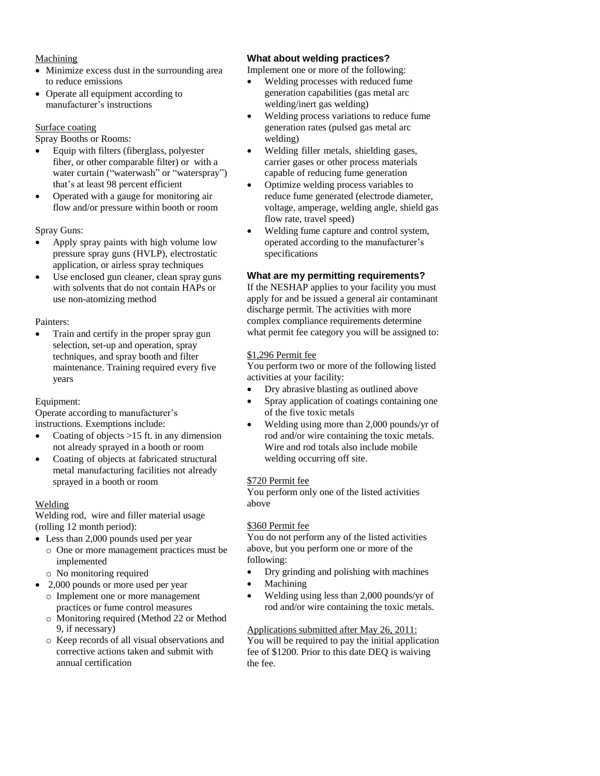#### Machining

- Minimize excess dust in the surrounding area to reduce emissions
- Operate all equipment according to manufacturer's instructions

#### Surface coating

Spray Booths or Rooms:

- Equip with filters (fiberglass, polyester fiber, or other comparable filter) or with a water curtain ("waterwash" or "waterspray") that's at least 98 percent efficient
- Operated with a gauge for monitoring air flow and/or pressure within booth or room

Spray Guns:

- Apply spray paints with high volume low pressure spray guns (HVLP), electrostatic application, or airless spray techniques
- Use enclosed gun cleaner, clean spray guns with solvents that do not contain HAPs or use non-atomizing method

#### Painters:

 Train and certify in the proper spray gun selection, set-up and operation, spray techniques, and spray booth and filter maintenance. Training required every five years

#### Equipment:

Operate according to manufacturer's instructions. Exemptions include:

- Coating of objects >15 ft. in any dimension not already sprayed in a booth or room
- Coating of objects at fabricated structural metal manufacturing facilities not already sprayed in a booth or room

#### Welding

Welding rod, wire and filler material usage (rolling 12 month period):

- Less than 2,000 pounds used per year
	- o One or more management practices must be implemented
	- o No monitoring required
- 2,000 pounds or more used per year
	- o Implement one or more management practices or fume control measures
	- o Monitoring required (Method 22 or Method 9, if necessary)
	- o Keep records of all visual observations and corrective actions taken and submit with annual certification

#### **What about welding practices?**

Implement one or more of the following:

- Welding processes with reduced fume generation capabilities (gas metal arc welding/inert gas welding)
- Welding process variations to reduce fume generation rates (pulsed gas metal arc welding)
- Welding filler metals, shielding gases, carrier gases or other process materials capable of reducing fume generation
- Optimize welding process variables to reduce fume generated (electrode diameter, voltage, amperage, welding angle, shield gas flow rate, travel speed)
- Welding fume capture and control system, operated according to the manufacturer's specifications

#### **What are my permitting requirements?**

If the NESHAP applies to your facility you must apply for and be issued a general air contaminant discharge permit. The activities with more complex compliance requirements determine what permit fee category you will be assigned to:

#### \$1,296 Permit fee

You perform two or more of the following listed activities at your facility:

- Dry abrasive blasting as outlined above
- Spray application of coatings containing one of the five toxic metals
- Welding using more than 2,000 pounds/yr of rod and/or wire containing the toxic metals. Wire and rod totals also include mobile welding occurring off site.

#### \$720 Permit fee

You perform only one of the listed activities above

#### \$360 Permit fee

You do not perform any of the listed activities above, but you perform one or more of the following:

- Dry grinding and polishing with machines
- Machining
- Welding using less than 2,000 pounds/yr of rod and/or wire containing the toxic metals.

Applications submitted after May 26, 2011: You will be required to pay the initial application fee of \$1200. Prior to this date DEQ is waiving the fee.